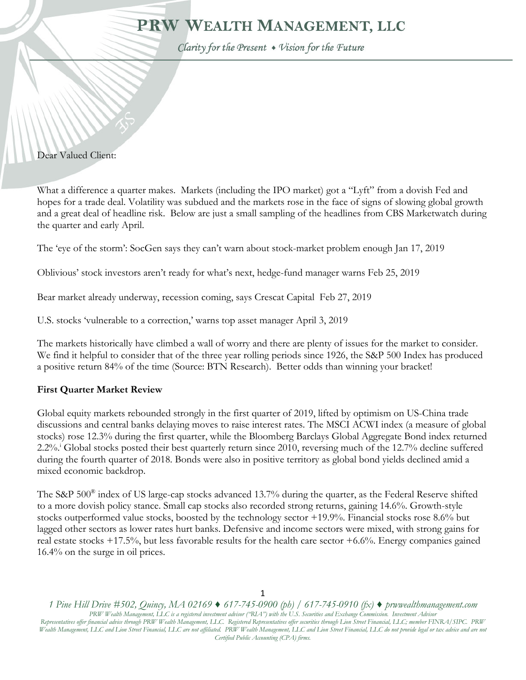# PRW WEALTH MANAGEMENT, LLC

Clarity for the Present . Vision for the Future

#### Dear Valued Client:

١

What a difference a quarter makes. Markets (including the IPO market) got a "Lyft" from a dovish Fed and hopes for a trade deal. Volatility was subdued and the markets rose in the face of signs of slowing global growth and a great deal of headline risk. Below are just a small sampling of the headlines from CBS Marketwatch during the quarter and early April.

The 'eye of the storm': SocGen says they can't warn about stock-market problem enough Jan 17, 2019

Oblivious' stock investors aren't ready for what's next, hedge-fund manager warns Feb 25, 2019

Bear market already underway, recession coming, says Crescat Capital Feb 27, 2019

U.S. stocks 'vulnerable to a correction,' warns top asset manager April 3, 2019

The markets historically have climbed a wall of worry and there are plenty of issues for the market to consider. We find it helpful to consider that of the three year rolling periods since 1926, the S&P 500 Index has produced a positive return 84% of the time (Source: BTN Research). Better odds than winning your bracket!

## **First Quarter Market Review**

Global equity markets rebounded strongly in the first quarter of 2019, lifted by optimism on US-China trade discussions and central banks delaying moves to raise interest rates. The MSCI ACWI index (a measure of global stocks) rose 12.3% during the first quarter, while the Bloomberg Barclays Global Aggregate Bond index returned 2.2%<sup>1</sup> Global stocks posted their best quarterly return since 2010, reversing much of the 12.7% decline suffered during the fourth quarter of 2018. Bonds were also in positive territory as global bond yields declined amid a mixed economic backdrop.

The S&P 500<sup>®</sup> index of US large-cap stocks advanced 13.7% during the quarter, as the Federal Reserve shifted to a more dovish policy stance. Small cap stocks also recorded strong returns, gaining 14.6%. Growth-style stocks outperformed value stocks, boosted by the technology sector +19.9%. Financial stocks rose 8.6% but lagged other sectors as lower rates hurt banks. Defensive and income sectors were mixed, with strong gains for real estate stocks +17.5%, but less favorable results for the health care sector +6.6%. Energy companies gained 16.4% on the surge in oil prices.

*1 Pine Hill Drive #502, Quincy, MA 02169 ♦ 617-745-0900 (ph) / 617-745-0910 (fx) ♦ prwwealthmanagement.com PRW Wealth Management, LLC is a registered investment advisor ("RIA") with the U.S. Securities and Exchange Commission. Investment Advisor Representatives offer financial advice through PRW Wealth Management, LLC. Registered Representatives offer securities through Lion Street Financial, LLC; member FINRA/SIPC. PRW*  Wealth Management, LLC and Lion Street Financial, LLC are not affiliated. PRW Wealth Management, LLC and Lion Street Financial, LLC do not provide legal or tax advice and are not *Certified Public Accounting (CPA) firms.*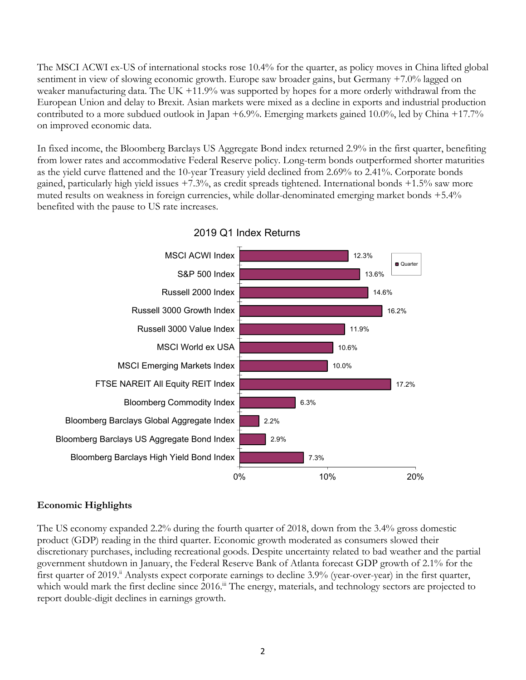The MSCI ACWI ex-US of international stocks rose 10.4% for the quarter, as policy moves in China lifted global sentiment in view of slowing economic growth. Europe saw broader gains, but Germany +7.0% lagged on weaker manufacturing data. The UK +11.9% was supported by hopes for a more orderly withdrawal from the European Union and delay to Brexit. Asian markets were mixed as a decline in exports and industrial production contributed to a more subdued outlook in Japan +6.9%. Emerging markets gained 10.0%, led by China +17.7% on improved economic data.

In fixed income, the Bloomberg Barclays US Aggregate Bond index returned 2.9% in the first quarter, benefiting from lower rates and accommodative Federal Reserve policy. Long-term bonds outperformed shorter maturities as the yield curve flattened and the 10-year Treasury yield declined from 2.69% to 2.41%. Corporate bonds gained, particularly high yield issues +7.3%, as credit spreads tightened. International bonds +1.5% saw more muted results on weakness in foreign currencies, while dollar-denominated emerging market bonds +5.4% benefited with the pause to US rate increases.



2019 Q1 Index Returns

## **Economic Highlights**

The US economy expanded 2.2% during the fourth quarter of 2018, down from the 3.4% gross domestic product (GDP) reading in the third quarter. Economic growth moderated as consumers slowed their discretionary purchases, including recreational goods. Despite uncertainty related to bad weather and the partial government shutdown in January, the Federal Reserve Bank of Atlanta forecast GDP growth of 2.1% for the first quarter of 2019.<sup>ii</sup> Analysts expect corporate earnings to decline 3.9% (year-over-year) in the first quarter, which would mark the first decline since 2016.<sup>iii</sup> The energy, materials, and technology sectors are projected to report double-digit declines in earnings growth.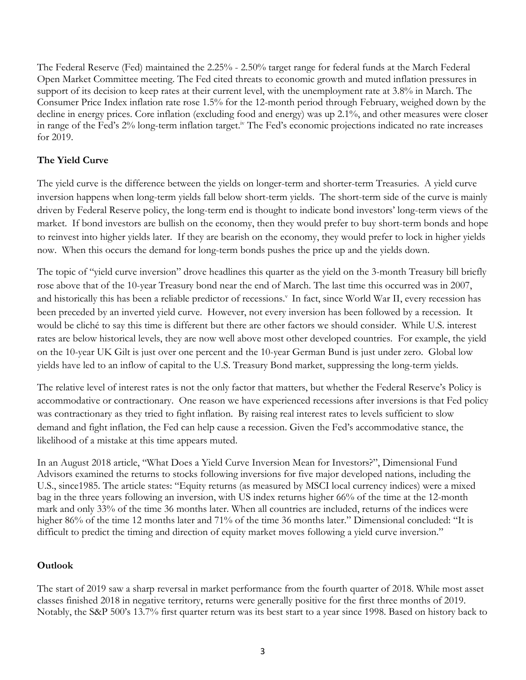The Federal Reserve (Fed) maintained the 2.25% - 2.50% target range for federal funds at the March Federal Open Market Committee meeting. The Fed cited threats to economic growth and muted inflation pressures in support of its decision to keep rates at their current level, with the unemployment rate at 3.8% in March. The Consumer Price Index inflation rate rose 1.5% for the 12-month period through February, weighed down by the decline in energy prices. Core inflation (excluding food and energy) was up 2.1%, and other measures were closer in range of the Fed's 2% long-term inflation target.<sup>iv</sup> The Fed's economic projections indicated no rate increases for 2019.

# **The Yield Curve**

The yield curve is the difference between the yields on longer-term and shorter-term Treasuries. A yield curve inversion happens when long-term yields fall below short-term yields. The short-term side of the curve is mainly driven by Federal Reserve policy, the long-term end is thought to indicate bond investors' long-term views of the market. If bond investors are bullish on the economy, then they would prefer to buy short-term bonds and hope to reinvest into higher yields later. If they are bearish on the economy, they would prefer to lock in higher yields now. When this occurs the demand for long-term bonds pushes the price up and the yields down.

The topic of "yield curve inversion" drove headlines this quarter as the yield on the 3-month Treasury bill briefly rose above that of the 10-year Treasury bond near the end of March. The last time this occurred was in 2007, and historically this has been a reliable predictor of recessions.<sup>v</sup> In fact, since World War II, every recession has been preceded by an inverted yield curve. However, not every inversion has been followed by a recession. It would be cliché to say this time is different but there are other factors we should consider. While U.S. interest rates are below historical levels, they are now well above most other developed countries. For example, the yield on the 10-year UK Gilt is just over one percent and the 10-year German Bund is just under zero. Global low yields have led to an inflow of capital to the U.S. Treasury Bond market, suppressing the long-term yields.

The relative level of interest rates is not the only factor that matters, but whether the Federal Reserve's Policy is accommodative or contractionary. One reason we have experienced recessions after inversions is that Fed policy was contractionary as they tried to fight inflation. By raising real interest rates to levels sufficient to slow demand and fight inflation, the Fed can help cause a recession. Given the Fed's accommodative stance, the likelihood of a mistake at this time appears muted.

In an August 2018 article, "What Does a Yield Curve Inversion Mean for Investors?", Dimensional Fund Advisors examined the returns to stocks following inversions for five major developed nations, including the U.S., since1985. The article states: "Equity returns (as measured by MSCI local currency indices) were a mixed bag in the three years following an inversion, with US index returns higher 66% of the time at the 12-month mark and only 33% of the time 36 months later. When all countries are included, returns of the indices were higher 86% of the time 12 months later and 71% of the time 36 months later." Dimensional concluded: "It is difficult to predict the timing and direction of equity market moves following a yield curve inversion."

## **Outlook**

The start of 2019 saw a sharp reversal in market performance from the fourth quarter of 2018. While most asset classes finished 2018 in negative territory, returns were generally positive for the first three months of 2019. Notably, the S&P 500's 13.7% first quarter return was its best start to a year since 1998. Based on history back to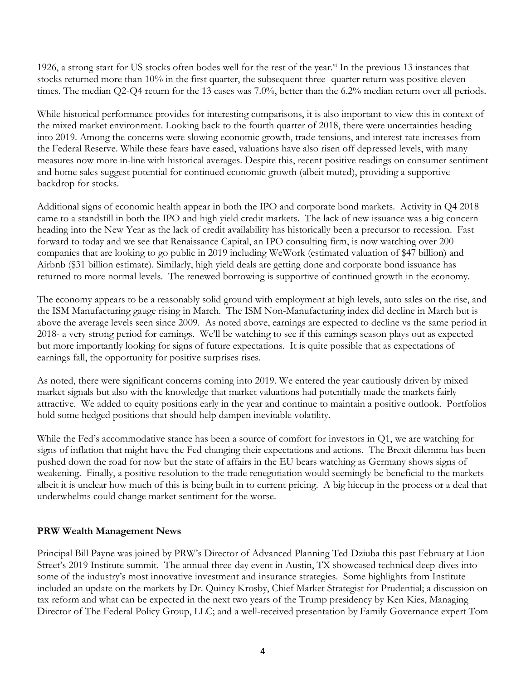1926, a strong start for US stocks often bodes well for the rest of the year.<sup>vi</sup> In the previous 13 instances that stocks returned more than 10% in the first quarter, the subsequent three- quarter return was positive eleven times. The median Q2-Q4 return for the 13 cases was 7.0%, better than the 6.2% median return over all periods.

While historical performance provides for interesting comparisons, it is also important to view this in context of the mixed market environment. Looking back to the fourth quarter of 2018, there were uncertainties heading into 2019. Among the concerns were slowing economic growth, trade tensions, and interest rate increases from the Federal Reserve. While these fears have eased, valuations have also risen off depressed levels, with many measures now more in-line with historical averages. Despite this, recent positive readings on consumer sentiment and home sales suggest potential for continued economic growth (albeit muted), providing a supportive backdrop for stocks.

Additional signs of economic health appear in both the IPO and corporate bond markets. Activity in Q4 2018 came to a standstill in both the IPO and high yield credit markets. The lack of new issuance was a big concern heading into the New Year as the lack of credit availability has historically been a precursor to recession. Fast forward to today and we see that Renaissance Capital, an IPO consulting firm, is now watching over 200 companies that are looking to go public in 2019 including WeWork (estimated valuation of \$47 billion) and Airbnb (\$31 billion estimate). Similarly, high yield deals are getting done and corporate bond issuance has returned to more normal levels. The renewed borrowing is supportive of continued growth in the economy.

The economy appears to be a reasonably solid ground with employment at high levels, auto sales on the rise, and the ISM Manufacturing gauge rising in March. The ISM Non-Manufacturing index did decline in March but is above the average levels seen since 2009. As noted above, earnings are expected to decline vs the same period in 2018- a very strong period for earnings. We'll be watching to see if this earnings season plays out as expected but more importantly looking for signs of future expectations. It is quite possible that as expectations of earnings fall, the opportunity for positive surprises rises.

As noted, there were significant concerns coming into 2019. We entered the year cautiously driven by mixed market signals but also with the knowledge that market valuations had potentially made the markets fairly attractive. We added to equity positions early in the year and continue to maintain a positive outlook. Portfolios hold some hedged positions that should help dampen inevitable volatility.

While the Fed's accommodative stance has been a source of comfort for investors in Q1, we are watching for signs of inflation that might have the Fed changing their expectations and actions. The Brexit dilemma has been pushed down the road for now but the state of affairs in the EU bears watching as Germany shows signs of weakening. Finally, a positive resolution to the trade renegotiation would seemingly be beneficial to the markets albeit it is unclear how much of this is being built in to current pricing. A big hiccup in the process or a deal that underwhelms could change market sentiment for the worse.

#### **PRW Wealth Management News**

Principal Bill Payne was joined by PRW's Director of Advanced Planning Ted Dziuba this past February at Lion Street's 2019 Institute summit. The annual three-day event in Austin, TX showcased technical deep-dives into some of the industry's most innovative investment and insurance strategies. Some highlights from Institute included an update on the markets by Dr. Quincy Krosby, Chief Market Strategist for Prudential; a discussion on tax reform and what can be expected in the next two years of the Trump presidency by Ken Kies, Managing Director of The Federal Policy Group, LLC; and a well-received presentation by Family Governance expert Tom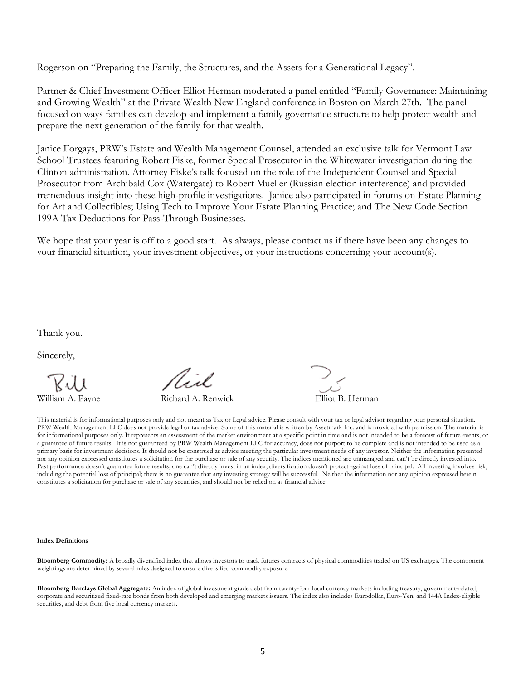Rogerson on "Preparing the Family, the Structures, and the Assets for a Generational Legacy".

Partner & Chief Investment Officer Elliot Herman moderated a panel entitled "Family Governance: Maintaining and Growing Wealth" at the Private Wealth New England conference in Boston on March 27th. The panel focused on ways families can develop and implement a family governance structure to help protect wealth and prepare the next generation of the family for that wealth.

Janice Forgays, PRW's Estate and Wealth Management Counsel, attended an exclusive talk for Vermont Law School Trustees featuring Robert Fiske, former Special Prosecutor in the Whitewater investigation during the Clinton administration. Attorney Fiske's talk focused on the role of the Independent Counsel and Special Prosecutor from Archibald Cox (Watergate) to Robert Mueller (Russian election interference) and provided tremendous insight into these high-profile investigations. Janice also participated in forums on Estate Planning for Art and Collectibles; Using Tech to Improve Your Estate Planning Practice; and The New Code Section 199A Tax Deductions for Pass-Through Businesses.

We hope that your year is off to a good start. As always, please contact us if there have been any changes to your financial situation, your investment objectives, or your instructions concerning your account(s).

Thank you.

Sincerely,

Aisl

William A. Payne Richard A. Renwick Elliot B. Herman

This material is for informational purposes only and not meant as Tax or Legal advice. Please consult with your tax or legal advisor regarding your personal situation. PRW Wealth Management LLC does not provide legal or tax advice. Some of this material is written by Assetmark Inc. and is provided with permission. The material is for informational purposes only. It represents an assessment of the market environment at a specific point in time and is not intended to be a forecast of future events, or a guarantee of future results. It is not guaranteed by PRW Wealth Management LLC for accuracy, does not purport to be complete and is not intended to be used as a primary basis for investment decisions. It should not be construed as advice meeting the particular investment needs of any investor. Neither the information presented nor any opinion expressed constitutes a solicitation for the purchase or sale of any security. The indices mentioned are unmanaged and can't be directly invested into. Past performance doesn't guarantee future results; one can't directly invest in an index; diversification doesn't protect against loss of principal. All investing involves risk, including the potential loss of principal; there is no guarantee that any investing strategy will be successful. Neither the information nor any opinion expressed herein constitutes a solicitation for purchase or sale of any securities, and should not be relied on as financial advice.

#### **Index Definitions**

**Bloomberg Commodity:** A broadly diversified index that allows investors to track futures contracts of physical commodities traded on US exchanges. The component weightings are determined by several rules designed to ensure diversified commodity exposure.

**Bloomberg Barclays Global Aggregate:** An index of global investment grade debt from twenty-four local currency markets including treasury, government-related, corporate and securitized fixed-rate bonds from both developed and emerging markets issuers. The index also includes Eurodollar, Euro-Yen, and 144A Index-eligible securities, and debt from five local currency markets.